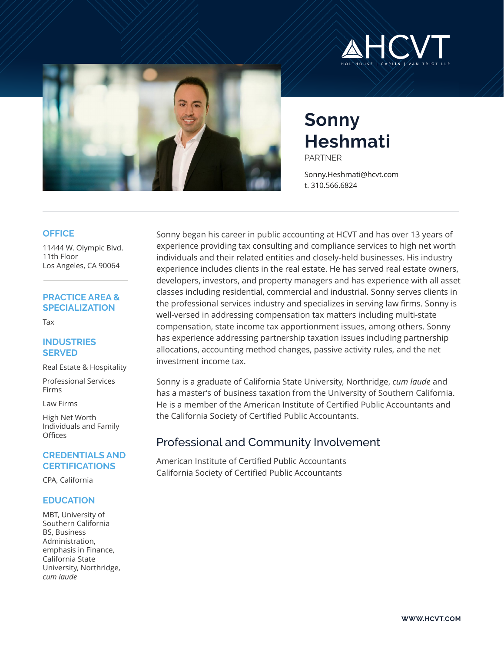



# **Sonny Heshmati**

PARTNER

Sonny.Heshmati@hcvt.com t. 310.566.6824

#### **OFFICE**

11444 W. Olympic Blvd. 11th Floor Los Angeles, CA 90064

#### **PRACTICE AREA & SPECIALIZATION**

Tax

#### **INDUSTRIES SERVED**

Real Estate & Hospitality

Professional Services Firms

Law Firms

High Net Worth Individuals and Family **Offices** 

#### **CREDENTIALS AND CERTIFICATIONS**

CPA, California

#### **EDUCATION**

MBT, University of Southern California BS, Business Administration, emphasis in Finance, California State University, Northridge, *cum laude*

Sonny began his career in public accounting at HCVT and has over 13 years of experience providing tax consulting and compliance services to high net worth individuals and their related entities and closely-held businesses. His industry experience includes clients in the real estate. He has served real estate owners, developers, investors, and property managers and has experience with all asset classes including residential, commercial and industrial. Sonny serves clients in the professional services industry and specializes in serving law firms. Sonny is well-versed in addressing compensation tax matters including multi-state compensation, state income tax apportionment issues, among others. Sonny has experience addressing partnership taxation issues including partnership allocations, accounting method changes, passive activity rules, and the net investment income tax.

Sonny is a graduate of California State University, Northridge, *cum laude* and has a master's of business taxation from the University of Southern California. He is a member of the American Institute of Certified Public Accountants and the California Society of Certified Public Accountants.

## Professional and Community Involvement

American Institute of Certified Public Accountants California Society of Certified Public Accountants